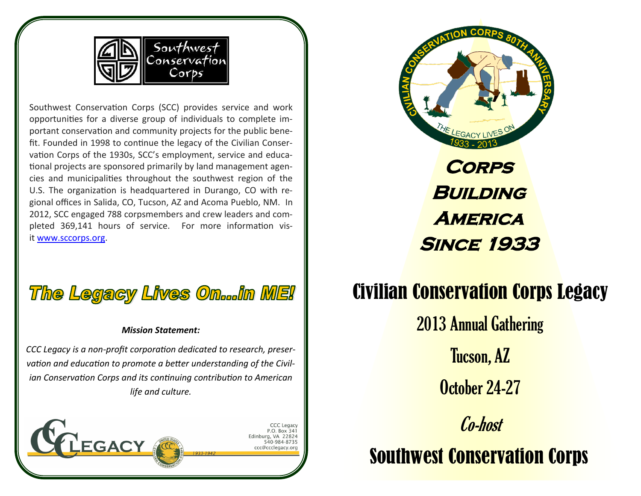

Southwest Conservation Corps (SCC) provides service and work opportunities for a diverse group of individuals to complete important conservation and community projects for the public benefit. Founded in 1998 to continue the legacy of the Civilian Conservation Corps of the 1930s, SCC's employment, service and educational projects are sponsored primarily by land management agencies and municipalities throughout the southwest region of the U.S. The organization is headquartered in Durango, CO with regional offices in Salida, CO, Tucson, AZ and Acoma Pueblo, NM. In 2012, SCC engaged 788 corpsmembers and crew leaders and completed 369,141 hours of service. For more information visit [www.sccorps.org.](http://www.sccorps.org/)



#### *Mission Statement:*

*CCC Legacy is a non-profit corporation dedicated to research, preservation and education to promote a better understanding of the Civilian Conservation Corps and its continuing contribution to American life and culture.* 

**GACY** 

P.O. Box 341 urg, VA 22824 540-984-8735



# Civilian Conservation Corps Legacy

Co-host 2013 Annual Gathering Tucson, AZ October 24-27

Southwest Conservation Corps